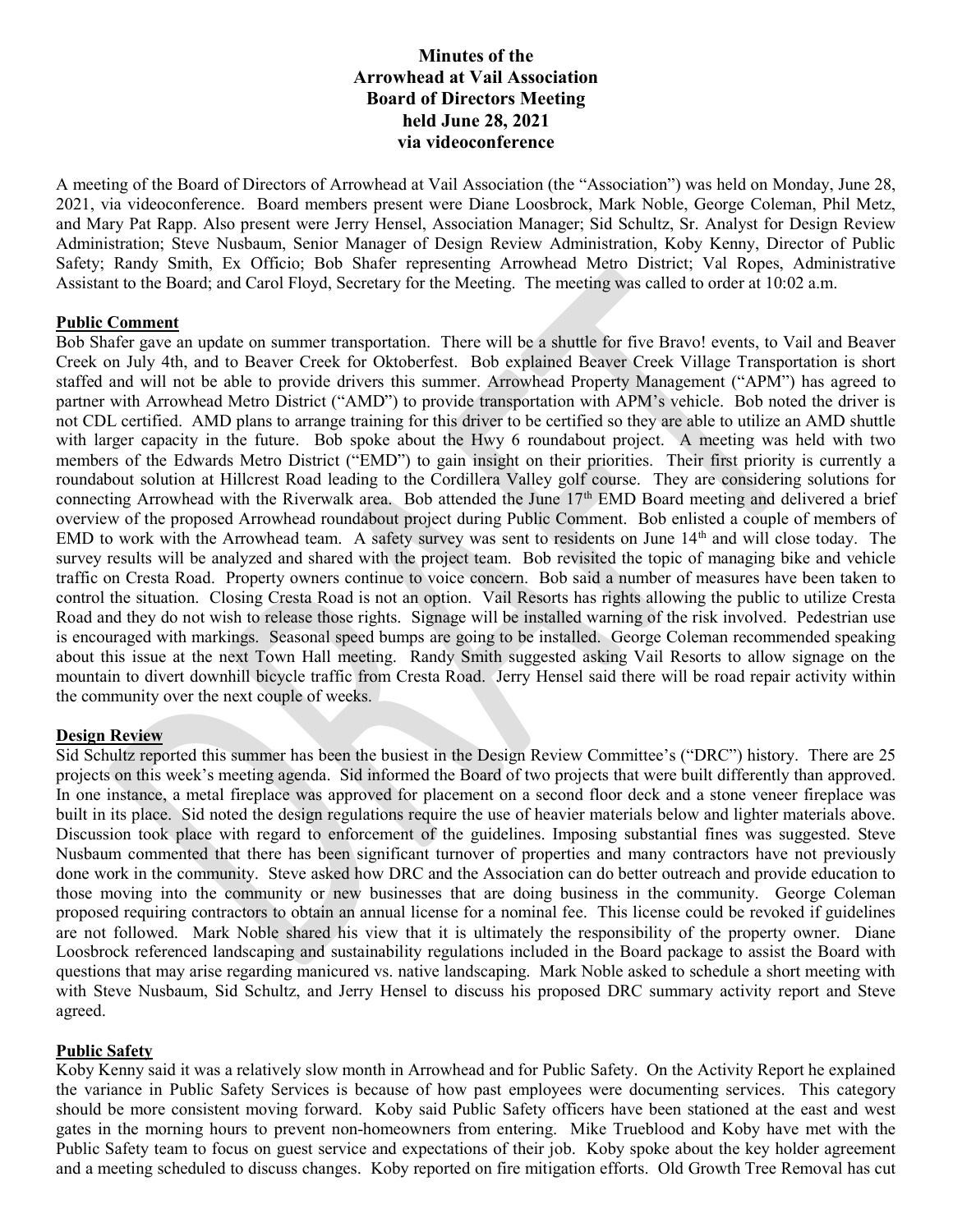# Minutes of the Arrowhead at Vail Association Board of Directors Meeting held June 28, 2021 via videoconference

A meeting of the Board of Directors of Arrowhead at Vail Association (the "Association") was held on Monday, June 28, 2021, via videoconference. Board members present were Diane Loosbrock, Mark Noble, George Coleman, Phil Metz, and Mary Pat Rapp. Also present were Jerry Hensel, Association Manager; Sid Schultz, Sr. Analyst for Design Review Administration; Steve Nusbaum, Senior Manager of Design Review Administration, Koby Kenny, Director of Public Safety; Randy Smith, Ex Officio; Bob Shafer representing Arrowhead Metro District; Val Ropes, Administrative Assistant to the Board; and Carol Floyd, Secretary for the Meeting. The meeting was called to order at 10:02 a.m.

## Public Comment

Bob Shafer gave an update on summer transportation. There will be a shuttle for five Bravo! events, to Vail and Beaver Creek on July 4th, and to Beaver Creek for Oktoberfest. Bob explained Beaver Creek Village Transportation is short staffed and will not be able to provide drivers this summer. Arrowhead Property Management ("APM") has agreed to partner with Arrowhead Metro District ("AMD") to provide transportation with APM's vehicle. Bob noted the driver is not CDL certified. AMD plans to arrange training for this driver to be certified so they are able to utilize an AMD shuttle with larger capacity in the future. Bob spoke about the Hwy 6 roundabout project. A meeting was held with two members of the Edwards Metro District ("EMD") to gain insight on their priorities. Their first priority is currently a roundabout solution at Hillcrest Road leading to the Cordillera Valley golf course. They are considering solutions for connecting Arrowhead with the Riverwalk area. Bob attended the June 17<sup>th</sup> EMD Board meeting and delivered a brief overview of the proposed Arrowhead roundabout project during Public Comment. Bob enlisted a couple of members of EMD to work with the Arrowhead team. A safety survey was sent to residents on June 14<sup>th</sup> and will close today. The survey results will be analyzed and shared with the project team. Bob revisited the topic of managing bike and vehicle traffic on Cresta Road. Property owners continue to voice concern. Bob said a number of measures have been taken to control the situation. Closing Cresta Road is not an option. Vail Resorts has rights allowing the public to utilize Cresta Road and they do not wish to release those rights. Signage will be installed warning of the risk involved. Pedestrian use is encouraged with markings. Seasonal speed bumps are going to be installed. George Coleman recommended speaking about this issue at the next Town Hall meeting. Randy Smith suggested asking Vail Resorts to allow signage on the mountain to divert downhill bicycle traffic from Cresta Road. Jerry Hensel said there will be road repair activity within the community over the next couple of weeks.

## Design Review

Sid Schultz reported this summer has been the busiest in the Design Review Committee's ("DRC") history. There are 25 projects on this week's meeting agenda. Sid informed the Board of two projects that were built differently than approved. In one instance, a metal fireplace was approved for placement on a second floor deck and a stone veneer fireplace was built in its place. Sid noted the design regulations require the use of heavier materials below and lighter materials above. Discussion took place with regard to enforcement of the guidelines. Imposing substantial fines was suggested. Steve Nusbaum commented that there has been significant turnover of properties and many contractors have not previously done work in the community. Steve asked how DRC and the Association can do better outreach and provide education to those moving into the community or new businesses that are doing business in the community. George Coleman proposed requiring contractors to obtain an annual license for a nominal fee. This license could be revoked if guidelines are not followed. Mark Noble shared his view that it is ultimately the responsibility of the property owner. Diane Loosbrock referenced landscaping and sustainability regulations included in the Board package to assist the Board with questions that may arise regarding manicured vs. native landscaping. Mark Noble asked to schedule a short meeting with with Steve Nusbaum, Sid Schultz, and Jerry Hensel to discuss his proposed DRC summary activity report and Steve agreed.

## Public Safety

Koby Kenny said it was a relatively slow month in Arrowhead and for Public Safety. On the Activity Report he explained the variance in Public Safety Services is because of how past employees were documenting services. This category should be more consistent moving forward. Koby said Public Safety officers have been stationed at the east and west gates in the morning hours to prevent non-homeowners from entering. Mike Trueblood and Koby have met with the Public Safety team to focus on guest service and expectations of their job. Koby spoke about the key holder agreement and a meeting scheduled to discuss changes. Koby reported on fire mitigation efforts. Old Growth Tree Removal has cut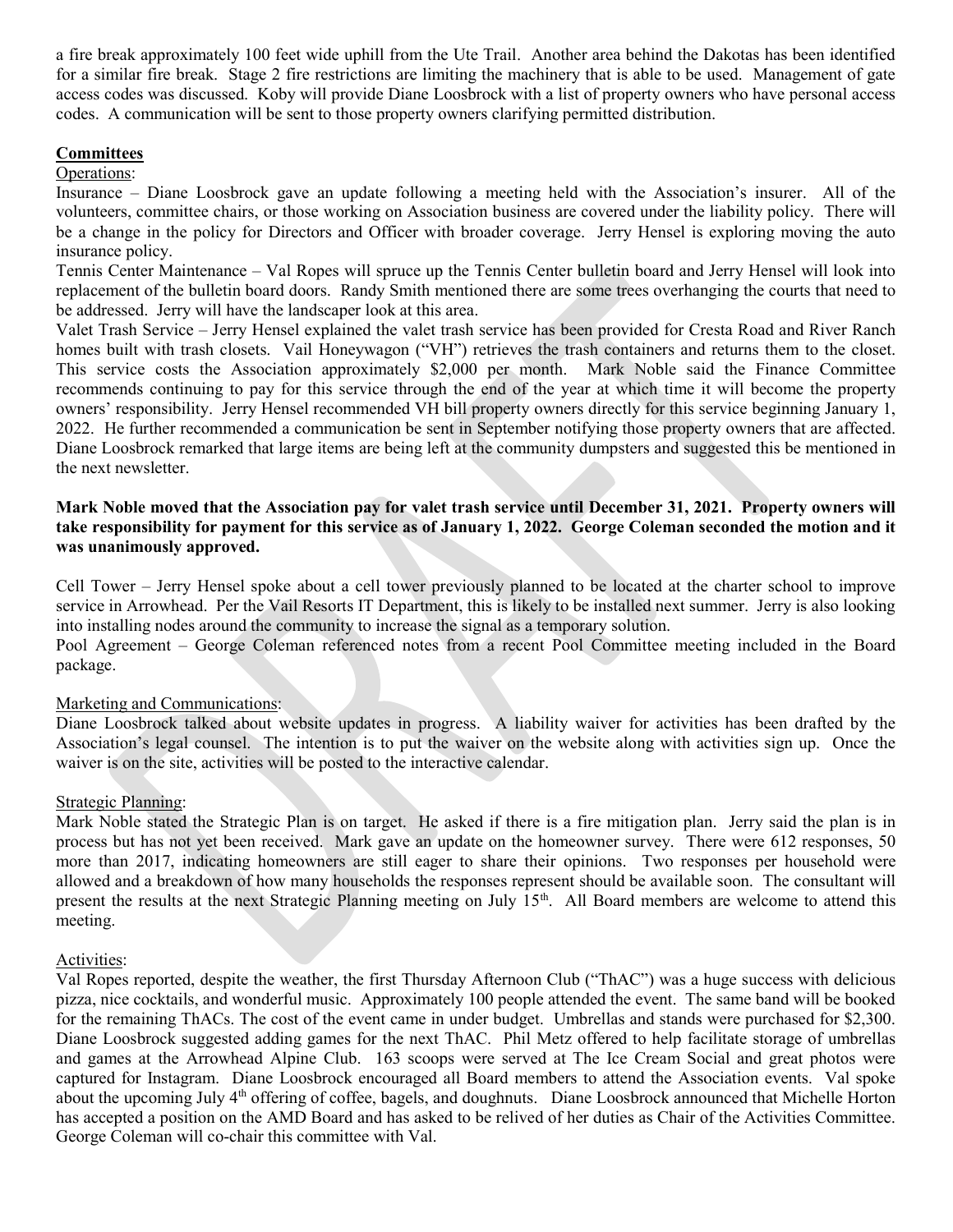a fire break approximately 100 feet wide uphill from the Ute Trail. Another area behind the Dakotas has been identified for a similar fire break. Stage 2 fire restrictions are limiting the machinery that is able to be used. Management of gate access codes was discussed. Koby will provide Diane Loosbrock with a list of property owners who have personal access codes. A communication will be sent to those property owners clarifying permitted distribution.

### **Committees**

### Operations:

Insurance – Diane Loosbrock gave an update following a meeting held with the Association's insurer. All of the volunteers, committee chairs, or those working on Association business are covered under the liability policy. There will be a change in the policy for Directors and Officer with broader coverage. Jerry Hensel is exploring moving the auto insurance policy.

Tennis Center Maintenance – Val Ropes will spruce up the Tennis Center bulletin board and Jerry Hensel will look into replacement of the bulletin board doors. Randy Smith mentioned there are some trees overhanging the courts that need to be addressed. Jerry will have the landscaper look at this area.

Valet Trash Service – Jerry Hensel explained the valet trash service has been provided for Cresta Road and River Ranch homes built with trash closets. Vail Honeywagon ("VH") retrieves the trash containers and returns them to the closet. This service costs the Association approximately \$2,000 per month. Mark Noble said the Finance Committee recommends continuing to pay for this service through the end of the year at which time it will become the property owners' responsibility. Jerry Hensel recommended VH bill property owners directly for this service beginning January 1, 2022. He further recommended a communication be sent in September notifying those property owners that are affected. Diane Loosbrock remarked that large items are being left at the community dumpsters and suggested this be mentioned in the next newsletter.

## Mark Noble moved that the Association pay for valet trash service until December 31, 2021. Property owners will take responsibility for payment for this service as of January 1, 2022. George Coleman seconded the motion and it was unanimously approved.

Cell Tower – Jerry Hensel spoke about a cell tower previously planned to be located at the charter school to improve service in Arrowhead. Per the Vail Resorts IT Department, this is likely to be installed next summer. Jerry is also looking into installing nodes around the community to increase the signal as a temporary solution.

Pool Agreement – George Coleman referenced notes from a recent Pool Committee meeting included in the Board package.

## Marketing and Communications:

Diane Loosbrock talked about website updates in progress. A liability waiver for activities has been drafted by the Association's legal counsel. The intention is to put the waiver on the website along with activities sign up. Once the waiver is on the site, activities will be posted to the interactive calendar.

### Strategic Planning:

Mark Noble stated the Strategic Plan is on target. He asked if there is a fire mitigation plan. Jerry said the plan is in process but has not yet been received. Mark gave an update on the homeowner survey. There were 612 responses, 50 more than 2017, indicating homeowners are still eager to share their opinions. Two responses per household were allowed and a breakdown of how many households the responses represent should be available soon. The consultant will present the results at the next Strategic Planning meeting on July 15th. All Board members are welcome to attend this meeting.

### Activities:

Val Ropes reported, despite the weather, the first Thursday Afternoon Club ("ThAC") was a huge success with delicious pizza, nice cocktails, and wonderful music. Approximately 100 people attended the event. The same band will be booked for the remaining ThACs. The cost of the event came in under budget. Umbrellas and stands were purchased for \$2,300. Diane Loosbrock suggested adding games for the next ThAC. Phil Metz offered to help facilitate storage of umbrellas and games at the Arrowhead Alpine Club. 163 scoops were served at The Ice Cream Social and great photos were captured for Instagram. Diane Loosbrock encouraged all Board members to attend the Association events. Val spoke about the upcoming July 4<sup>th</sup> offering of coffee, bagels, and doughnuts. Diane Loosbrock announced that Michelle Horton has accepted a position on the AMD Board and has asked to be relived of her duties as Chair of the Activities Committee. George Coleman will co-chair this committee with Val.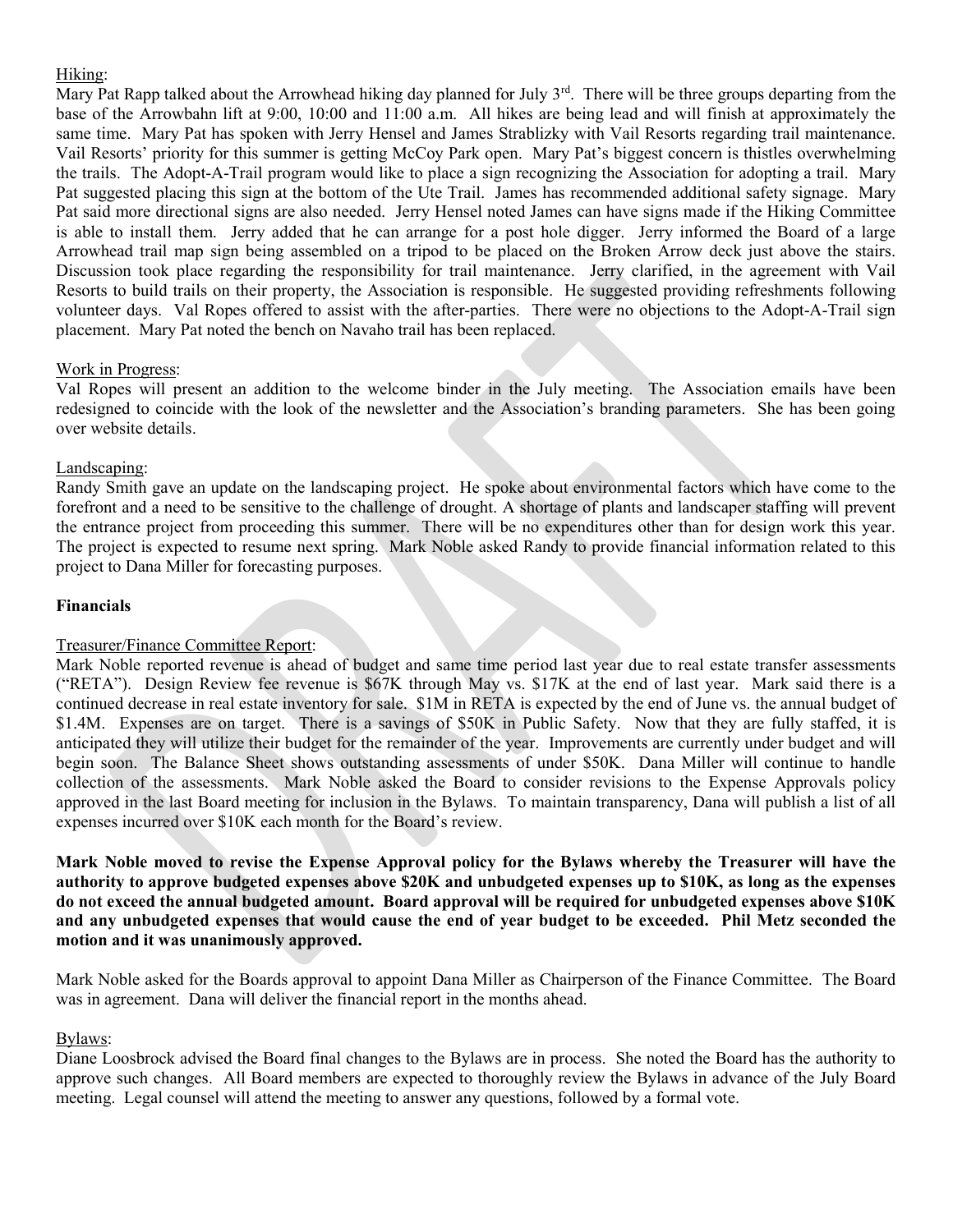# Hiking:

Mary Pat Rapp talked about the Arrowhead hiking day planned for July 3<sup>rd</sup>. There will be three groups departing from the base of the Arrowbahn lift at 9:00, 10:00 and 11:00 a.m. All hikes are being lead and will finish at approximately the same time. Mary Pat has spoken with Jerry Hensel and James Strablizky with Vail Resorts regarding trail maintenance. Vail Resorts' priority for this summer is getting McCoy Park open. Mary Pat's biggest concern is thistles overwhelming the trails. The Adopt-A-Trail program would like to place a sign recognizing the Association for adopting a trail. Mary Pat suggested placing this sign at the bottom of the Ute Trail. James has recommended additional safety signage. Mary Pat said more directional signs are also needed. Jerry Hensel noted James can have signs made if the Hiking Committee is able to install them. Jerry added that he can arrange for a post hole digger. Jerry informed the Board of a large Arrowhead trail map sign being assembled on a tripod to be placed on the Broken Arrow deck just above the stairs. Discussion took place regarding the responsibility for trail maintenance. Jerry clarified, in the agreement with Vail Resorts to build trails on their property, the Association is responsible. He suggested providing refreshments following volunteer days. Val Ropes offered to assist with the after-parties. There were no objections to the Adopt-A-Trail sign placement. Mary Pat noted the bench on Navaho trail has been replaced.

## Work in Progress:

Val Ropes will present an addition to the welcome binder in the July meeting. The Association emails have been redesigned to coincide with the look of the newsletter and the Association's branding parameters. She has been going over website details.

## Landscaping:

Randy Smith gave an update on the landscaping project. He spoke about environmental factors which have come to the forefront and a need to be sensitive to the challenge of drought. A shortage of plants and landscaper staffing will prevent the entrance project from proceeding this summer. There will be no expenditures other than for design work this year. The project is expected to resume next spring. Mark Noble asked Randy to provide financial information related to this project to Dana Miller for forecasting purposes.

## Financials

### Treasurer/Finance Committee Report:

Mark Noble reported revenue is ahead of budget and same time period last year due to real estate transfer assessments ("RETA"). Design Review fee revenue is \$67K through May vs. \$17K at the end of last year. Mark said there is a continued decrease in real estate inventory for sale. \$1M in RETA is expected by the end of June vs. the annual budget of \$1.4M. Expenses are on target. There is a savings of \$50K in Public Safety. Now that they are fully staffed, it is anticipated they will utilize their budget for the remainder of the year. Improvements are currently under budget and will begin soon. The Balance Sheet shows outstanding assessments of under \$50K. Dana Miller will continue to handle collection of the assessments. Mark Noble asked the Board to consider revisions to the Expense Approvals policy approved in the last Board meeting for inclusion in the Bylaws. To maintain transparency, Dana will publish a list of all expenses incurred over \$10K each month for the Board's review.

Mark Noble moved to revise the Expense Approval policy for the Bylaws whereby the Treasurer will have the authority to approve budgeted expenses above \$20K and unbudgeted expenses up to \$10K, as long as the expenses do not exceed the annual budgeted amount. Board approval will be required for unbudgeted expenses above \$10K and any unbudgeted expenses that would cause the end of year budget to be exceeded. Phil Metz seconded the motion and it was unanimously approved.

Mark Noble asked for the Boards approval to appoint Dana Miller as Chairperson of the Finance Committee. The Board was in agreement. Dana will deliver the financial report in the months ahead.

### Bylaws:

Diane Loosbrock advised the Board final changes to the Bylaws are in process. She noted the Board has the authority to approve such changes. All Board members are expected to thoroughly review the Bylaws in advance of the July Board meeting. Legal counsel will attend the meeting to answer any questions, followed by a formal vote.